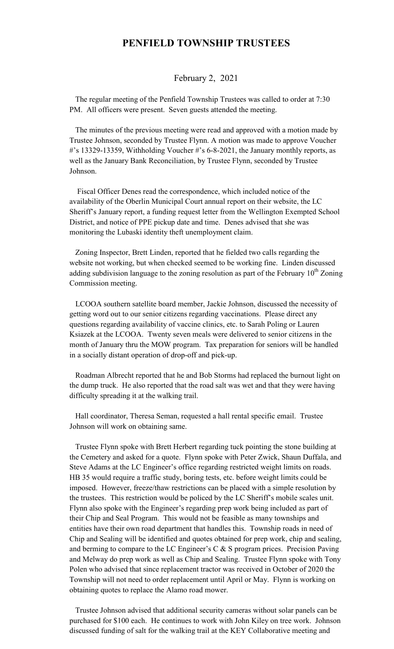## **PENFIELD TOWNSHIP TRUSTEES**

## February 2, 2021

 The regular meeting of the Penfield Township Trustees was called to order at 7:30 PM. All officers were present. Seven guests attended the meeting.

 The minutes of the previous meeting were read and approved with a motion made by Trustee Johnson, seconded by Trustee Flynn. A motion was made to approve Voucher #'s 13329-13359, Withholding Voucher #'s 6-8-2021, the January monthly reports, as well as the January Bank Reconciliation, by Trustee Flynn, seconded by Trustee Johnson.

 Fiscal Officer Denes read the correspondence, which included notice of the availability of the Oberlin Municipal Court annual report on their website, the LC Sheriff's January report, a funding request letter from the Wellington Exempted School District, and notice of PPE pickup date and time. Denes advised that she was monitoring the Lubaski identity theft unemployment claim.

 Zoning Inspector, Brett Linden, reported that he fielded two calls regarding the website not working, but when checked seemed to be working fine. Linden discussed adding subdivision language to the zoning resolution as part of the February  $10^{th}$  Zoning Commission meeting.

 LCOOA southern satellite board member, Jackie Johnson, discussed the necessity of getting word out to our senior citizens regarding vaccinations. Please direct any questions regarding availability of vaccine clinics, etc. to Sarah Poling or Lauren Ksiazek at the LCOOA. Twenty seven meals were delivered to senior citizens in the month of January thru the MOW program. Tax preparation for seniors will be handled in a socially distant operation of drop-off and pick-up.

 Roadman Albrecht reported that he and Bob Storms had replaced the burnout light on the dump truck. He also reported that the road salt was wet and that they were having difficulty spreading it at the walking trail.

 Hall coordinator, Theresa Seman, requested a hall rental specific email. Trustee Johnson will work on obtaining same.

 Trustee Flynn spoke with Brett Herbert regarding tuck pointing the stone building at the Cemetery and asked for a quote. Flynn spoke with Peter Zwick, Shaun Duffala, and Steve Adams at the LC Engineer's office regarding restricted weight limits on roads. HB 35 would require a traffic study, boring tests, etc. before weight limits could be imposed. However, freeze/thaw restrictions can be placed with a simple resolution by the trustees. This restriction would be policed by the LC Sheriff's mobile scales unit. Flynn also spoke with the Engineer's regarding prep work being included as part of their Chip and Seal Program. This would not be feasible as many townships and entities have their own road department that handles this. Township roads in need of Chip and Sealing will be identified and quotes obtained for prep work, chip and sealing, and berming to compare to the LC Engineer's C  $\&$  S program prices. Precision Paving and Melway do prep work as well as Chip and Sealing. Trustee Flynn spoke with Tony Polen who advised that since replacement tractor was received in October of 2020 the Township will not need to order replacement until April or May. Flynn is working on obtaining quotes to replace the Alamo road mower.

 Trustee Johnson advised that additional security cameras without solar panels can be purchased for \$100 each. He continues to work with John Kiley on tree work. Johnson discussed funding of salt for the walking trail at the KEY Collaborative meeting and